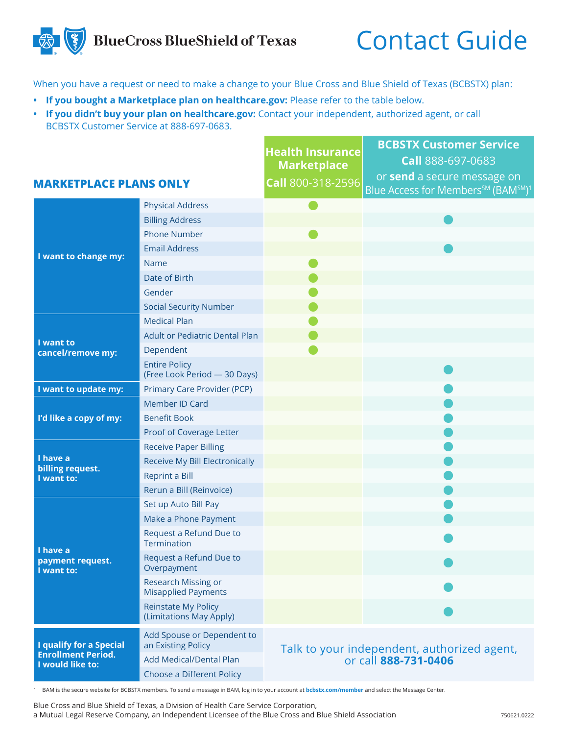## **BlueCross BlueShield of Texas**

## Contact Guide

When you have a request or need to make a change to your Blue Cross and Blue Shield of Texas (BCBSTX) plan:

- **• If you bought a Marketplace plan on healthcare.gov:** Please refer to the table below.
- **• If you didn't buy your plan on healthcare.gov:** Contact your independent, authorized agent, or call BCBSTX Customer Service at 888-697-0683.

|                                                                                 |                                                       | <b>Health Insurance</b><br><b>Marketplace</b>                       | <b>BCBSTX Customer Service</b><br>Call 888-697-0683                                       |
|---------------------------------------------------------------------------------|-------------------------------------------------------|---------------------------------------------------------------------|-------------------------------------------------------------------------------------------|
| <b>MARKETPLACE PLANS ONLY</b>                                                   |                                                       | Call 800-318-2596                                                   | or send a secure message on<br>Blue Access for Members <sup>SM</sup> (BAM <sup>SM)1</sup> |
| I want to change my:                                                            | <b>Physical Address</b>                               |                                                                     |                                                                                           |
|                                                                                 | <b>Billing Address</b>                                |                                                                     |                                                                                           |
|                                                                                 | <b>Phone Number</b>                                   |                                                                     |                                                                                           |
|                                                                                 | <b>Email Address</b>                                  |                                                                     |                                                                                           |
|                                                                                 | Name                                                  |                                                                     |                                                                                           |
|                                                                                 | Date of Birth                                         |                                                                     |                                                                                           |
|                                                                                 | Gender                                                |                                                                     |                                                                                           |
|                                                                                 | <b>Social Security Number</b>                         |                                                                     |                                                                                           |
| I want to<br>cancel/remove my:                                                  | <b>Medical Plan</b>                                   |                                                                     |                                                                                           |
|                                                                                 | <b>Adult or Pediatric Dental Plan</b>                 |                                                                     |                                                                                           |
|                                                                                 | Dependent                                             |                                                                     |                                                                                           |
|                                                                                 | <b>Entire Policy</b><br>(Free Look Period - 30 Days)  |                                                                     |                                                                                           |
| I want to update my:                                                            | Primary Care Provider (PCP)                           |                                                                     |                                                                                           |
| I'd like a copy of my:                                                          | Member ID Card                                        |                                                                     |                                                                                           |
|                                                                                 | <b>Benefit Book</b>                                   |                                                                     |                                                                                           |
|                                                                                 | Proof of Coverage Letter                              |                                                                     |                                                                                           |
| I have a<br>billing request.<br>I want to:                                      | <b>Receive Paper Billing</b>                          |                                                                     |                                                                                           |
|                                                                                 | Receive My Bill Electronically                        |                                                                     |                                                                                           |
|                                                                                 | <b>Reprint a Bill</b>                                 |                                                                     |                                                                                           |
|                                                                                 | Rerun a Bill (Reinvoice)                              |                                                                     |                                                                                           |
| I have a<br>payment request.<br>I want to:                                      | Set up Auto Bill Pay                                  |                                                                     |                                                                                           |
|                                                                                 | Make a Phone Payment                                  |                                                                     |                                                                                           |
|                                                                                 | Request a Refund Due to<br>Termination                |                                                                     |                                                                                           |
|                                                                                 | Request a Refund Due to<br>Overpayment                |                                                                     |                                                                                           |
|                                                                                 | Research Missing or<br><b>Misapplied Payments</b>     |                                                                     |                                                                                           |
|                                                                                 | <b>Reinstate My Policy</b><br>(Limitations May Apply) |                                                                     |                                                                                           |
| <b>I qualify for a Special</b><br><b>Enrollment Period.</b><br>I would like to: | Add Spouse or Dependent to<br>an Existing Policy      | Talk to your independent, authorized agent,<br>or call 888-731-0406 |                                                                                           |
|                                                                                 | <b>Add Medical/Dental Plan</b>                        |                                                                     |                                                                                           |
|                                                                                 | Choose a Different Policy                             |                                                                     |                                                                                           |
|                                                                                 |                                                       |                                                                     |                                                                                           |

1 BAM is the secure website for BCBSTX members. To send a message in BAM, log in to your account at **bcbstx.com/member** and select the Message Center.

Blue Cross and Blue Shield of Texas, a Division of Health Care Service Corporation, a Mutual Legal Reserve Company, an Independent Licensee of the Blue Cross and Blue Shield Association 750621.0222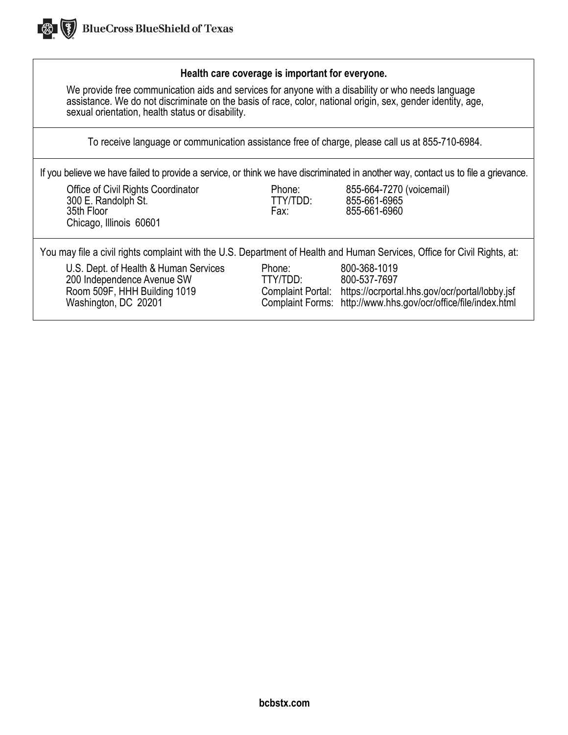

## **Health care coverage is important for everyone.**

We provide free communication aids and services for anyone with a disability or who needs language assistance. We do not discriminate on the basis of race, color, national origin, sex, gender identity, age, sexual orientation, health status or disability.

To receive language or communication assistance free of charge, please call us at 855-710-6984.

If you believe we have failed to provide a service, or think we have discriminated in another way, contact us to file a grievance.

Office of Civil Rights Coordinator **Phone:** 855-664-7270 (voicemail)<br>300 E. Randolph St. **Phone:** TTY/TDD: 855-661-6965 300 E. Randolph St. TTY/TDD: 855-661-6965 35th Floor Fax: 855-661-6960 Chicago, Illinois 60601

You may file a civil rights complaint with the U.S. Department of Health and Human Services, Office for Civil Rights, at:

U.S. Dept. of Health & Human Services Phone: 800-368-1019<br>100 Independence Avenue SW TTY/TDD: 800-537-7697 200 Independence Avenue SW TTY/TDD:<br>Room 509F, HHH Building 1019 Complaint

Room 509F, HHH Building 1019 Complaint Portal: https://ocrportal.hhs.gov/ocr/portal/lobby.jsf<br>Washington, DC 20201 Complaint Forms: http://www.hhs.gov/ocr/office/file/index.html Complaint Forms: http:/[/www.hhs.gov/ocr/office/file/index.html](http://www.hhs.gov/ocr/office/file/index.html)